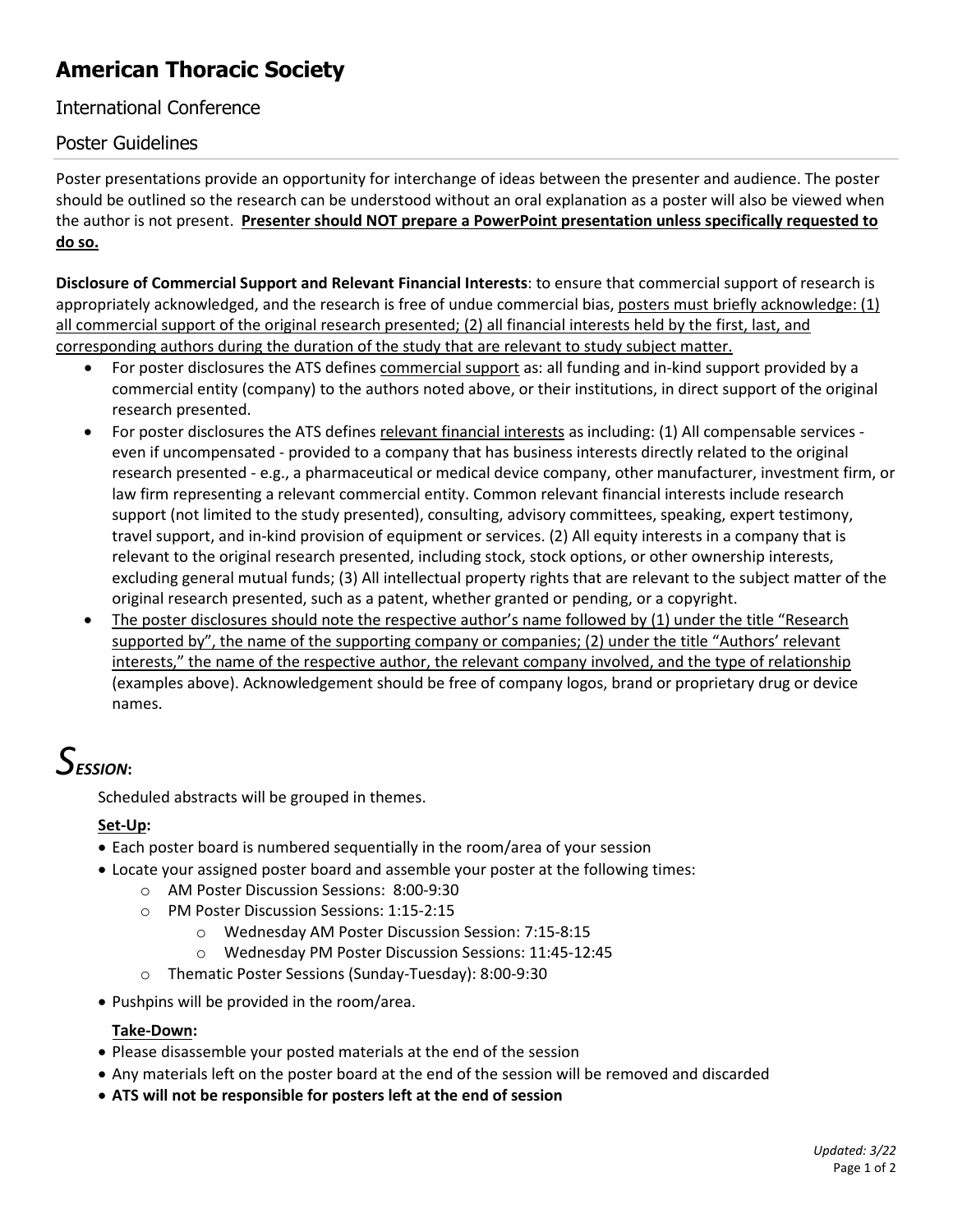### **American Thoracic Society**

#### International Conference

#### Poster Guidelines

Poster presentations provide an opportunity for interchange of ideas between the presenter and audience. The poster should be outlined so the research can be understood without an oral explanation as a poster will also be viewed when the author is not present. **Presenter should NOT prepare a PowerPoint presentation unless specifically requested to do so.** 

**Disclosure of Commercial Support and Relevant Financial Interests**: to ensure that commercial support of research is appropriately acknowledged, and the research is free of undue commercial bias, posters must briefly acknowledge:  $(1)$ all commercial support of the original research presented; (2) all financial interests held by the first, last, and corresponding authors during the duration of the study that are relevant to study subject matter.

- For poster disclosures the ATS defines commercial support as: all funding and in-kind support provided by a commercial entity (company) to the authors noted above, or their institutions, in direct support of the original research presented.
- For poster disclosures the ATS defines relevant financial interests as including: (1) All compensable services even if uncompensated - provided to a company that has business interests directly related to the original research presented - e.g., a pharmaceutical or medical device company, other manufacturer, investment firm, or law firm representing a relevant commercial entity. Common relevant financial interests include research support (not limited to the study presented), consulting, advisory committees, speaking, expert testimony, travel support, and in-kind provision of equipment or services. (2) All equity interests in a company that is relevant to the original research presented, including stock, stock options, or other ownership interests, excluding general mutual funds; (3) All intellectual property rights that are relevant to the subject matter of the original research presented, such as a patent, whether granted or pending, or a copyright.
- The poster disclosures should note the respective author's name followed by (1) under the title "Research supported by", the name of the supporting company or companies; (2) under the title "Authors' relevant interests," the name of the respective author, the relevant company involved, and the type of relationship (examples above). Acknowledgement should be free of company logos, brand or proprietary drug or device names.

### *SESSION***:**

Scheduled abstracts will be grouped in themes.

#### **Set-Up:**

- Each poster board is numbered sequentially in the room/area of your session
- Locate your assigned poster board and assemble your poster at the following times:
	- o AM Poster Discussion Sessions: 8:00-9:30
	- o PM Poster Discussion Sessions: 1:15-2:15
		- o Wednesday AM Poster Discussion Session: 7:15-8:15
		- o Wednesday PM Poster Discussion Sessions: 11:45-12:45
	- o Thematic Poster Sessions (Sunday-Tuesday): 8:00-9:30
- Pushpins will be provided in the room/area.

#### **Take-Down:**

- Please disassemble your posted materials at the end of the session
- Any materials left on the poster board at the end of the session will be removed and discarded
- **ATS will not be responsible for posters left at the end of session**